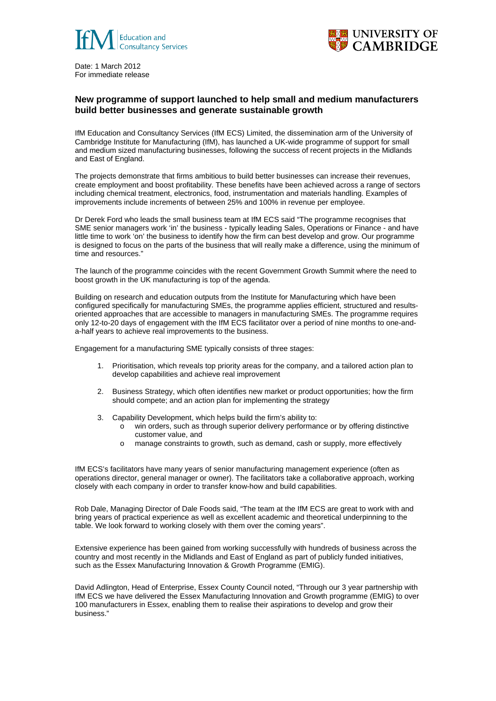



Date: 1 March 2012 For immediate release

## **New programme of support launched to help small and medium manufacturers build better businesses and generate sustainable growth**

IfM Education and Consultancy Services (IfM ECS) Limited, the dissemination arm of the University of Cambridge Institute for Manufacturing (IfM), has launched a UK-wide programme of support for small and medium sized manufacturing businesses, following the success of recent projects in the Midlands and East of England.

The projects demonstrate that firms ambitious to build better businesses can increase their revenues, create employment and boost profitability. These benefits have been achieved across a range of sectors including chemical treatment, electronics, food, instrumentation and materials handling. Examples of improvements include increments of between 25% and 100% in revenue per employee.

Dr Derek Ford who leads the small business team at IfM ECS said "The programme recognises that SME senior managers work 'in' the business - typically leading Sales, Operations or Finance - and have little time to work 'on' the business to identify how the firm can best develop and grow. Our programme is designed to focus on the parts of the business that will really make a difference, using the minimum of time and resources."

The launch of the programme coincides with the recent Government Growth Summit where the need to boost growth in the UK manufacturing is top of the agenda.

Building on research and education outputs from the Institute for Manufacturing which have been configured specifically for manufacturing SMEs, the programme applies efficient, structured and resultsoriented approaches that are accessible to managers in manufacturing SMEs. The programme requires only 12-to-20 days of engagement with the IfM ECS facilitator over a period of nine months to one-anda-half years to achieve real improvements to the business.

Engagement for a manufacturing SME typically consists of three stages:

- 1. Prioritisation, which reveals top priority areas for the company, and a tailored action plan to develop capabilities and achieve real improvement
- 2. Business Strategy, which often identifies new market or product opportunities; how the firm should compete; and an action plan for implementing the strategy
- 3. Capability Development, which helps build the firm's ability to:
	- o win orders, such as through superior delivery performance or by offering distinctive customer value, and
	- o manage constraints to growth, such as demand, cash or supply, more effectively

IfM ECS's facilitators have many years of senior manufacturing management experience (often as operations director, general manager or owner). The facilitators take a collaborative approach, working closely with each company in order to transfer know-how and build capabilities.

Rob Dale, Managing Director of Dale Foods said, "The team at the IfM ECS are great to work with and bring years of practical experience as well as excellent academic and theoretical underpinning to the table. We look forward to working closely with them over the coming years".

Extensive experience has been gained from working successfully with hundreds of business across the country and most recently in the Midlands and East of England as part of publicly funded initiatives, such as the Essex Manufacturing Innovation & Growth Programme (EMIG).

David Adlington, Head of Enterprise, Essex County Council noted, "Through our 3 year partnership with IfM ECS we have delivered the Essex Manufacturing Innovation and Growth programme (EMIG) to over 100 manufacturers in Essex, enabling them to realise their aspirations to develop and grow their business."